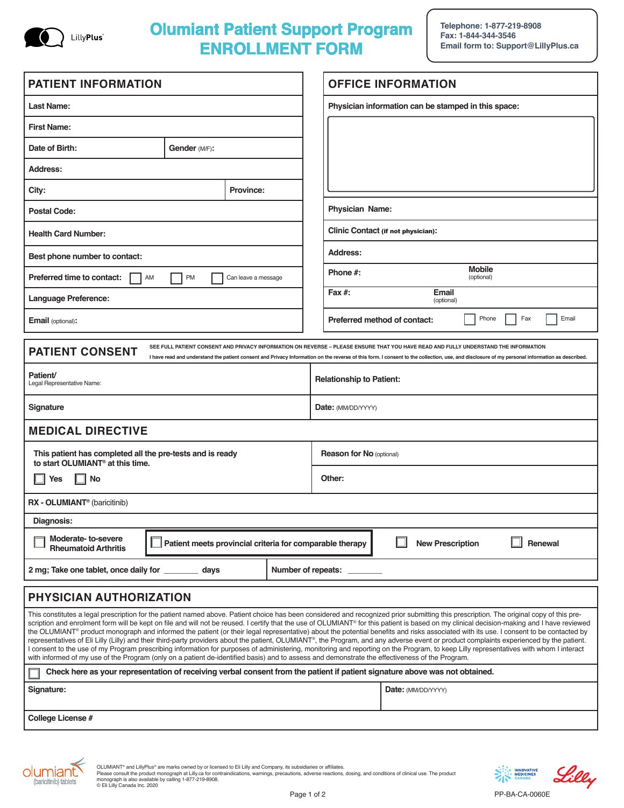

# **Olumiant Patient Support Program ENROLLMENT FORM**

**Telephone: 1-877-219-8908 Fax: 1-844-344-3546 Email form to: Support@LillyPlus.ca**

| <b>PATIENT INFORMATION</b>                                                                                                                                                                                                                                                                                                                                                                                                                                                                                                                                                                                                                                                                                                                                                                                                                                                                                                                                                                                                                                                                                           |  |  | <b>OFFICE INFORMATION</b>                           |                       |
|----------------------------------------------------------------------------------------------------------------------------------------------------------------------------------------------------------------------------------------------------------------------------------------------------------------------------------------------------------------------------------------------------------------------------------------------------------------------------------------------------------------------------------------------------------------------------------------------------------------------------------------------------------------------------------------------------------------------------------------------------------------------------------------------------------------------------------------------------------------------------------------------------------------------------------------------------------------------------------------------------------------------------------------------------------------------------------------------------------------------|--|--|-----------------------------------------------------|-----------------------|
| Last Name:                                                                                                                                                                                                                                                                                                                                                                                                                                                                                                                                                                                                                                                                                                                                                                                                                                                                                                                                                                                                                                                                                                           |  |  | Physician information can be stamped in this space: |                       |
| <b>First Name:</b>                                                                                                                                                                                                                                                                                                                                                                                                                                                                                                                                                                                                                                                                                                                                                                                                                                                                                                                                                                                                                                                                                                   |  |  |                                                     |                       |
| Date of Birth:<br>Gender (M/F):                                                                                                                                                                                                                                                                                                                                                                                                                                                                                                                                                                                                                                                                                                                                                                                                                                                                                                                                                                                                                                                                                      |  |  |                                                     |                       |
| Address:                                                                                                                                                                                                                                                                                                                                                                                                                                                                                                                                                                                                                                                                                                                                                                                                                                                                                                                                                                                                                                                                                                             |  |  |                                                     |                       |
| City:<br><b>Province:</b>                                                                                                                                                                                                                                                                                                                                                                                                                                                                                                                                                                                                                                                                                                                                                                                                                                                                                                                                                                                                                                                                                            |  |  |                                                     |                       |
| <b>Postal Code:</b>                                                                                                                                                                                                                                                                                                                                                                                                                                                                                                                                                                                                                                                                                                                                                                                                                                                                                                                                                                                                                                                                                                  |  |  | Physician Name:                                     |                       |
| <b>Health Card Number:</b>                                                                                                                                                                                                                                                                                                                                                                                                                                                                                                                                                                                                                                                                                                                                                                                                                                                                                                                                                                                                                                                                                           |  |  | Clinic Contact (if not physician):                  |                       |
| Best phone number to contact:                                                                                                                                                                                                                                                                                                                                                                                                                                                                                                                                                                                                                                                                                                                                                                                                                                                                                                                                                                                                                                                                                        |  |  | <b>Address:</b>                                     |                       |
| Preferred time to contact:<br>PM<br>AM<br>Can leave a message                                                                                                                                                                                                                                                                                                                                                                                                                                                                                                                                                                                                                                                                                                                                                                                                                                                                                                                                                                                                                                                        |  |  | <b>Mobile</b><br>Phone #:<br>(optional)             |                       |
| Language Preference:                                                                                                                                                                                                                                                                                                                                                                                                                                                                                                                                                                                                                                                                                                                                                                                                                                                                                                                                                                                                                                                                                                 |  |  | Fax #:<br>Email<br>(optional)                       |                       |
| Email (optional):                                                                                                                                                                                                                                                                                                                                                                                                                                                                                                                                                                                                                                                                                                                                                                                                                                                                                                                                                                                                                                                                                                    |  |  | Preferred method of contact:                        | Phone<br>Fax<br>Email |
| SEE FULL PATIENT CONSENT AND PRIVACY INFORMATION ON REVERSE - PLEASE ENSURE THAT YOU HAVE READ AND FULLY UNDERSTAND THE INFORMATION<br><b>PATIENT CONSENT</b><br>I have read and understand the patient consent and Privacy Information on the reverse of this form. I consent to the collection, use, and disclosure of my personal information as described.                                                                                                                                                                                                                                                                                                                                                                                                                                                                                                                                                                                                                                                                                                                                                       |  |  |                                                     |                       |
| Patient/<br>Legal Representative Name:                                                                                                                                                                                                                                                                                                                                                                                                                                                                                                                                                                                                                                                                                                                                                                                                                                                                                                                                                                                                                                                                               |  |  | <b>Relationship to Patient:</b>                     |                       |
| Signature                                                                                                                                                                                                                                                                                                                                                                                                                                                                                                                                                                                                                                                                                                                                                                                                                                                                                                                                                                                                                                                                                                            |  |  | <b>Date:</b> (MM/DD/YYYY)                           |                       |
| <b>MEDICAL DIRECTIVE</b>                                                                                                                                                                                                                                                                                                                                                                                                                                                                                                                                                                                                                                                                                                                                                                                                                                                                                                                                                                                                                                                                                             |  |  |                                                     |                       |
| This patient has completed all the pre-tests and is ready<br>to start OLUMIANT <sup>®</sup> at this time.                                                                                                                                                                                                                                                                                                                                                                                                                                                                                                                                                                                                                                                                                                                                                                                                                                                                                                                                                                                                            |  |  | <b>Reason for No (optional)</b>                     |                       |
| No<br><b>Yes</b>                                                                                                                                                                                                                                                                                                                                                                                                                                                                                                                                                                                                                                                                                                                                                                                                                                                                                                                                                                                                                                                                                                     |  |  | Other:                                              |                       |
| RX - OLUMIANT <sup>®</sup> (baricitinib)                                                                                                                                                                                                                                                                                                                                                                                                                                                                                                                                                                                                                                                                                                                                                                                                                                                                                                                                                                                                                                                                             |  |  |                                                     |                       |
| Diagnosis:                                                                                                                                                                                                                                                                                                                                                                                                                                                                                                                                                                                                                                                                                                                                                                                                                                                                                                                                                                                                                                                                                                           |  |  |                                                     |                       |
| Moderate-to-severe<br>Renewal<br>Patient meets provincial criteria for comparable therapy<br><b>New Prescription</b><br><b>Rheumatoid Arthritis</b>                                                                                                                                                                                                                                                                                                                                                                                                                                                                                                                                                                                                                                                                                                                                                                                                                                                                                                                                                                  |  |  |                                                     |                       |
| 2 mg; Take one tablet, once daily for<br>Number of repeats:<br>days                                                                                                                                                                                                                                                                                                                                                                                                                                                                                                                                                                                                                                                                                                                                                                                                                                                                                                                                                                                                                                                  |  |  |                                                     |                       |
| PHYSICIAN AUTHORIZATION                                                                                                                                                                                                                                                                                                                                                                                                                                                                                                                                                                                                                                                                                                                                                                                                                                                                                                                                                                                                                                                                                              |  |  |                                                     |                       |
| This constitutes a legal prescription for the patient named above. Patient choice has been considered and recognized prior submitting this prescription. The original copy of this pre-<br>scription and enrolment form will be kept on file and will not be reused. I certify that the use of OLUMIANT® for this patient is based on my clinical decision-making and I have reviewed<br>the OLUMIANT® product monograph and informed the patient (or their legal representative) about the potential benefits and risks associated with its use. I consent to be contacted by<br>representatives of Eli Lilly (Lilly) and their third-party providers about the patient, OLUMIANT®, the Program, and any adverse event or product complaints experienced by the patient.<br>I consent to the use of my Program prescribing information for purposes of administering, monitoring and reporting on the Program, to keep Lilly representatives with whom I interact<br>with informed of my use of the Program (only on a patient de-identified basis) and to assess and demonstrate the effectiveness of the Program. |  |  |                                                     |                       |
| Check here as your representation of receiving verbal consent from the patient if patient signature above was not obtained.                                                                                                                                                                                                                                                                                                                                                                                                                                                                                                                                                                                                                                                                                                                                                                                                                                                                                                                                                                                          |  |  |                                                     |                       |
| Signature:                                                                                                                                                                                                                                                                                                                                                                                                                                                                                                                                                                                                                                                                                                                                                                                                                                                                                                                                                                                                                                                                                                           |  |  | Date: (MM/DD/YYYY)                                  |                       |
| College License #                                                                                                                                                                                                                                                                                                                                                                                                                                                                                                                                                                                                                                                                                                                                                                                                                                                                                                                                                                                                                                                                                                    |  |  |                                                     |                       |



OLUMIANT® and LillyPlus® are marks owned by or licensed to Eli Lilly and Company, its subsidiaries or affiliates.<br>Please consult the product monograph at Lilly.ca for contraindications, warnings, precautions, adverse react



PP-BA-CA-0060E